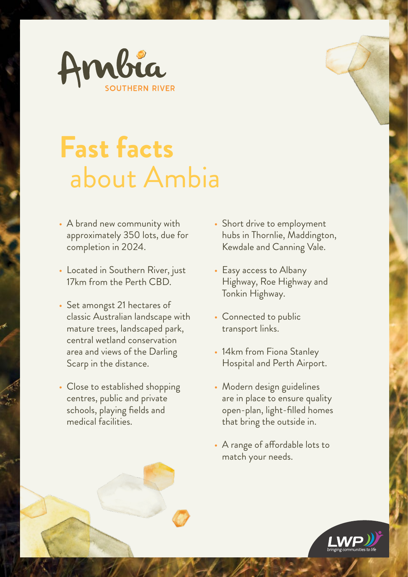

## **Fast facts** about Ambia

- A brand new community with approximately 350 lots, due for completion in 2024.
- Located in Southern River, just 17km from the Perth CBD.
- Set amongst 21 hectares of classic Australian landscape with mature trees, landscaped park, central wetland conservation area and views of the Darling Scarp in the distance.
- Close to established shopping centres, public and private schools, playing fields and medical facilities.
- Short drive to employment hubs in Thornlie, Maddington, Kewdale and Canning Vale.
- Easy access to Albany Highway, Roe Highway and Tonkin Highway.
- Connected to public transport links.
- 14km from Fiona Stanley Hospital and Perth Airport.
- Modern design guidelines are in place to ensure quality open-plan, light-filled homes that bring the outside in.
- A range of affordable lots to match your needs.